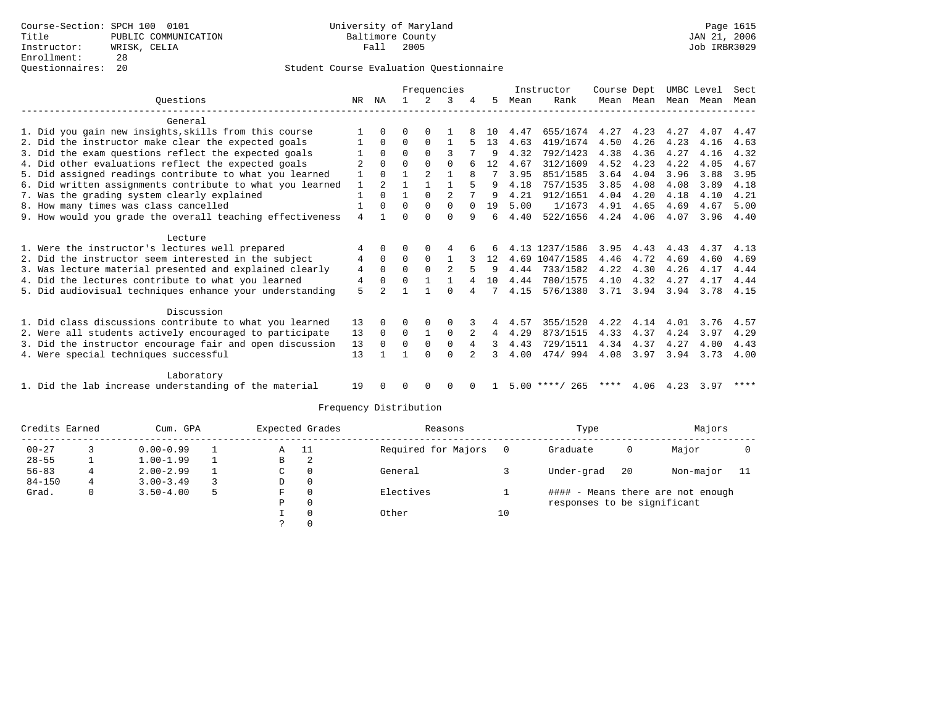## Student Course Evaluation Questionnaire

|                                                           |     | Frequencies    |          |                |          |          |    |      | Instructor       | Course Dept |           | UMBC Level |      | Sect |
|-----------------------------------------------------------|-----|----------------|----------|----------------|----------|----------|----|------|------------------|-------------|-----------|------------|------|------|
| Ouestions                                                 | NR. | ΝA             |          |                | 3        |          | 5  | Mean | Rank             |             | Mean Mean | Mean       | Mean | Mean |
| General                                                   |     |                |          |                |          |          |    |      |                  |             |           |            |      |      |
| 1. Did you gain new insights, skills from this course     |     |                |          |                |          |          | 10 | 4.47 | 655/1674         | 4.27        | 4.23      | 4.27       | 4.07 | 4.47 |
| 2. Did the instructor make clear the expected goals       |     | $\Omega$       | 0        | 0              |          |          | 13 | 4.63 | 419/1674         | 4.50        | 4.26      | 4.23       | 4.16 | 4.63 |
| 3. Did the exam questions reflect the expected goals      |     | $\Omega$       | $\Omega$ | $\Omega$       | 3        |          | 9  | 4.32 | 792/1423         | 4.38        | 4.36      | 4.27       | 4.16 | 4.32 |
| 4. Did other evaluations reflect the expected goals       |     | $\Omega$       | $\Omega$ | $\Omega$       | $\Omega$ |          | 12 | 4.67 | 312/1609         | 4.52        | 4.23      | 4.22       | 4.05 | 4.67 |
| 5. Did assigned readings contribute to what you learned   |     |                |          | $\overline{2}$ |          | 8        |    | 3.95 | 851/1585         | 3.64        | 4.04      | 3.96       | 3.88 | 3.95 |
| 6. Did written assignments contribute to what you learned |     |                |          |                |          |          | 9  | 4.18 | 757/1535         | 3.85        | 4.08      | 4.08       | 3.89 | 4.18 |
| 7. Was the grading system clearly explained               |     | $\Omega$       |          | $\Omega$       | 2        |          | 9  | 4.21 | 912/1651         | 4.04        | 4.20      | 4.18       | 4.10 | 4.21 |
| 8. How many times was class cancelled                     |     | $\Omega$       | $\Omega$ | $\Omega$       | $\Omega$ | $\Omega$ | 19 | 5.00 | 1/1673           | 4.91        | 4.65      | 4.69       | 4.67 | 5.00 |
| 9. How would you grade the overall teaching effectiveness | 4   |                |          | <sup>n</sup>   | U        | 9        | 6  | 4.40 | 522/1656         | 4.24        | 4.06      | 4.07       | 3.96 | 4.40 |
| Lecture                                                   |     |                |          |                |          |          |    |      |                  |             |           |            |      |      |
| 1. Were the instructor's lectures well prepared           | 4   | $\Omega$       |          |                |          |          | 6  |      | 4.13 1237/1586   | 3.95        | 4.43      | 4.43       | 4.37 | 4.13 |
| 2. Did the instructor seem interested in the subject      | 4   | $\Omega$       | 0        | $\Omega$       |          |          | 12 | 4.69 | 1047/1585        | 4.46        | 4.72      | 4.69       | 4.60 | 4.69 |
| 3. Was lecture material presented and explained clearly   | 4   | $\Omega$       | $\Omega$ | $\Omega$       | 2        |          | 9  | 4.44 | 733/1582         | 4.22        | 4.30      | 4.26       | 4.17 | 4.44 |
| 4. Did the lectures contribute to what you learned        | 4   | 0              | U        |                |          |          | 10 | 4.44 | 780/1575         | 4.10        | 4.32      | 4.27       | 4.17 | 4.44 |
| 5. Did audiovisual techniques enhance your understanding  | 5   | $\overline{a}$ |          |                | U        | 4        |    | 4.15 | 576/1380         | 3.71        | 3.94      | 3.94       | 3.78 | 4.15 |
| Discussion                                                |     |                |          |                |          |          |    |      |                  |             |           |            |      |      |
| 1. Did class discussions contribute to what you learned   | 13  | $\Omega$       | 0        | $\Omega$       |          |          | 4  | 4.57 | 355/1520         | 4.22        | 4.14      | 4.01       | 3.76 | 4.57 |
| 2. Were all students actively encouraged to participate   | 13  | $\Omega$       | $\Omega$ | $\mathbf{1}$   | 0        |          | 4  | 4.29 | 873/1515         | 4.33        | 4.37      | 4.24       | 3.97 | 4.29 |
| 3. Did the instructor encourage fair and open discussion  | 13  | $\Omega$       | $\Omega$ | 0              | 0        | 4        |    | 4.43 | 729/1511         | 4.34        | 4.37      | 4.27       | 4.00 | 4.43 |
| 4. Were special techniques successful                     | 13  |                |          | $\Omega$       | $\Omega$ |          |    | 4.00 | 474/994          | 4.08        | 3.97      | 3.94       | 3.73 | 4.00 |
| Laboratory                                                |     |                |          |                |          |          |    |      |                  |             |           |            |      |      |
| 1. Did the lab increase understanding of the material     | 19  |                |          | $\Omega$       | 0        |          |    |      | $5.00$ ****/ 265 | ****        | 4.06      | 4.23       | 3.97 | **** |

# Frequency Distribution

| Credits Earned |   | Cum. GPA      | Expected Grades |           | Reasons  |                     | Type | Majors                      |     |                                   |     |
|----------------|---|---------------|-----------------|-----------|----------|---------------------|------|-----------------------------|-----|-----------------------------------|-----|
| $00 - 27$      |   | $0.00 - 0.99$ |                 | - 11<br>Α |          | Required for Majors |      | Graduate                    | 0   | Major                             |     |
| $28 - 55$      |   | $1.00 - 1.99$ |                 | В         | 2        |                     |      |                             |     |                                   |     |
| $56 - 83$      | 4 | $2.00 - 2.99$ |                 | C         | $\Omega$ | General             |      | Under-grad                  | -20 | Non-major                         | -11 |
| $84 - 150$     | 4 | $3.00 - 3.49$ |                 | D         | $\circ$  |                     |      |                             |     |                                   |     |
| Grad.          | 0 | $3.50 - 4.00$ |                 | F         | 0        | Electives           |      |                             |     | #### - Means there are not enough |     |
|                |   |               |                 | Р         | 0        |                     |      | responses to be significant |     |                                   |     |
|                |   |               |                 |           | $\Omega$ | Other               | 10   |                             |     |                                   |     |
|                |   |               |                 |           |          |                     |      |                             |     |                                   |     |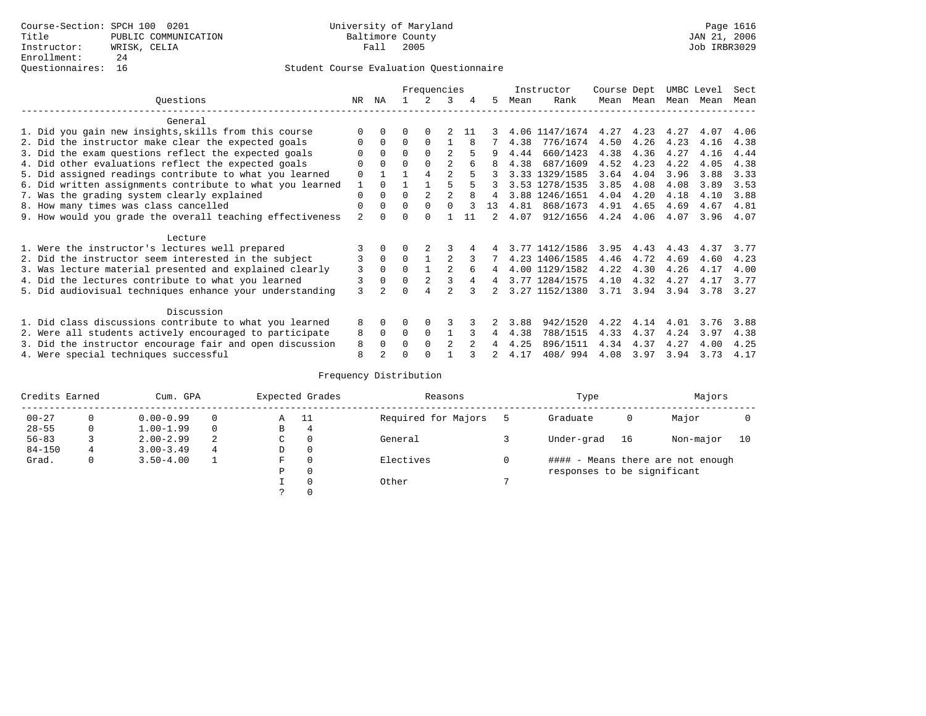## Student Course Evaluation Questionnaire

|                                                           |                |                |          | Frequencies    |                |     |    |      | Instructor     | Course Dept |      | UMBC Level |      | Sect |  |
|-----------------------------------------------------------|----------------|----------------|----------|----------------|----------------|-----|----|------|----------------|-------------|------|------------|------|------|--|
| Ouestions                                                 | NR.            | ΝA             |          |                | 3              | 4   | 5  | Mean | Rank           | Mean        | Mean | Mean       | Mean | Mean |  |
| General                                                   |                |                |          |                |                |     |    |      |                |             |      |            |      |      |  |
| 1. Did you gain new insights, skills from this course     |                | 0              | U        | $\Omega$       |                | -11 |    |      | 4.06 1147/1674 | 4.27        | 4.23 | 4.27       | 4.07 | 4.06 |  |
| 2. Did the instructor make clear the expected goals       |                | $\Omega$       | $\Omega$ | $\Omega$       |                |     |    | 4.38 | 776/1674       | 4.50        | 4.26 | 4.23       | 4.16 | 4.38 |  |
| 3. Did the exam questions reflect the expected goals      |                | $\Omega$       | $\Omega$ | $\Omega$       | 2              |     | 9  | 4.44 | 660/1423       | 4.38        | 4.36 | 4.27       | 4.16 | 4.44 |  |
| 4. Did other evaluations reflect the expected goals       | O              | $\Omega$       | $\Omega$ | $\Omega$       | 2              |     |    | 4.38 | 687/1609       | 4.52        | 4.23 | 4.22       | 4.05 | 4.38 |  |
| 5. Did assigned readings contribute to what you learned   | 0              |                |          | 4              | $\mathfrak{D}$ |     |    |      | 3.33 1329/1585 | 3.64        | 4.04 | 3.96       | 3.88 | 3.33 |  |
| 6. Did written assignments contribute to what you learned | 1              |                |          |                |                |     |    |      | 3.53 1278/1535 | 3.85        | 4.08 | 4.08       | 3.89 | 3.53 |  |
| 7. Was the grading system clearly explained               |                |                |          | $\overline{2}$ | $\mathfrak{D}$ |     | 4  |      | 3.88 1246/1651 | 4.04        | 4.20 | 4.18       | 4.10 | 3.88 |  |
| 8. How many times was class cancelled                     | 0<br>0         | 0              | $\Omega$ | $\Omega$       | 0              |     | 13 | 4.81 | 868/1673       | 4.91        | 4.65 | 4.69       | 4.67 | 4.81 |  |
| 9. How would you grade the overall teaching effectiveness | $\overline{a}$ |                |          | <sup>0</sup>   |                | 11  | 2  | 4.07 | 912/1656       | 4.24        | 4.06 | 4.07       | 3.96 | 4.07 |  |
|                                                           |                |                |          |                |                |     |    |      |                |             |      |            |      |      |  |
| Lecture                                                   |                |                |          |                |                |     |    |      |                |             |      |            |      |      |  |
| 1. Were the instructor's lectures well prepared           |                |                |          |                |                |     |    |      | 3.77 1412/1586 | 3.95        | 4.43 | 4.43       | 4.37 | 3.77 |  |
| 2. Did the instructor seem interested in the subject      |                | $\mathbf 0$    | $\Omega$ |                | 2              |     |    |      | 4.23 1406/1585 | 4.46        | 4.72 | 4.69       | 4.60 | 4.23 |  |
| 3. Was lecture material presented and explained clearly   | 3              | $\Omega$       | 0        |                | $\mathfrak{D}$ | 6   | 4  |      | 4.00 1129/1582 | 4.22        | 4.30 | 4.26       | 4.17 | 4.00 |  |
| 4. Did the lectures contribute to what you learned        |                |                | $\Omega$ | 2              |                |     | 4  |      | 3.77 1284/1575 | 4.10        | 4.32 | 4.27       | 4.17 | 3.77 |  |
| 5. Did audiovisual techniques enhance your understanding  | $\mathcal{L}$  |                |          |                |                |     |    |      | 3.27 1152/1380 | 3.71        | 3.94 | 3.94       | 3.78 | 3.27 |  |
|                                                           |                |                |          |                |                |     |    |      |                |             |      |            |      |      |  |
| Discussion                                                |                |                |          |                |                |     |    |      |                |             |      |            |      |      |  |
| 1. Did class discussions contribute to what you learned   | 8              | 0              | U        | <sup>0</sup>   |                |     |    | 3.88 | 942/1520       | 4.22        | 4.14 | 4.01       | 3.76 | 3.88 |  |
| 2. Were all students actively encouraged to participate   | 8              | $\Omega$       | 0        | 0              |                |     | 4  | 4.38 | 788/1515       | 4.33        | 4.37 | 4.24       | 3.97 | 4.38 |  |
| 3. Did the instructor encourage fair and open discussion  | 8              | 0              | U        | $\Omega$       | 2              |     | 4  | 4.25 | 896/1511       | 4.34        | 4.37 | 4.27       | 4.00 | 4.25 |  |
| 4. Were special techniques successful                     | 8              | $\mathfrak{D}$ |          |                |                |     |    | 4.17 | 408/994        | 4.08        | 3.97 | 3.94       | 3.73 | 4.17 |  |

# Frequency Distribution

| Credits Earned |   | Cum. GPA           |   | Expected Grades | Reasons   | Type                | Majors                      |                                   |           |    |  |
|----------------|---|--------------------|---|-----------------|-----------|---------------------|-----------------------------|-----------------------------------|-----------|----|--|
| $00 - 27$      | 0 | $0.00 - 0.99$      |   | Α               | - 11      | Required for Majors | Graduate                    | 0                                 | Major     |    |  |
| $28 - 55$      | 0 | $1.00 - 1.99$      |   | B               | 4         |                     |                             |                                   |           |    |  |
| $56 - 83$      |   | $2.00 - 2.99$      | 2 | C               | 0         | General             | Under-grad                  | 16                                | Non-major | 10 |  |
| $84 - 150$     | 4 | $3.00 - 3.49$      | 4 | D               | 0         |                     |                             |                                   |           |    |  |
| Grad.          | 0 | $3.50 - 4.00$<br>F |   | 0               | Electives |                     |                             | #### - Means there are not enough |           |    |  |
|                |   |                    |   | Ρ               | 0         |                     | responses to be significant |                                   |           |    |  |
|                |   |                    |   |                 | $\Omega$  | Other               |                             |                                   |           |    |  |
|                |   |                    |   |                 |           |                     |                             |                                   |           |    |  |